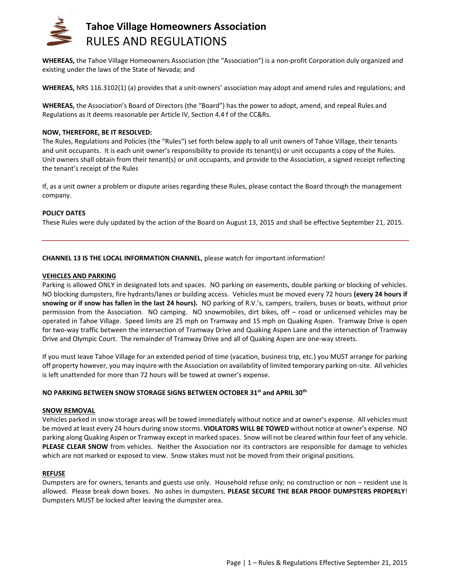

**WHEREAS,** the Tahoe Village Homeowners Association (the "Association") is a non‐profit Corporation duly organized and existing under the laws of the State of Nevada; and

**WHEREAS,** NRS 116.3102(1) (a) provides that a unit-owners' association may adopt and amend rules and regulations; and

**WHEREAS,** the Association's Board of Directors (the "Board") has the power to adopt, amend, and repeal Rules and Regulations as it deems reasonable per Article IV, Section 4.4 f of the CC&Rs.

## **NOW, THEREFORE, BE IT RESOLVED:**

The Rules, Regulations and Policies (the "Rules") set forth below apply to all unit owners of Tahoe Village, their tenants and unit occupants. It is each unit owner's responsibility to provide its tenant(s) or unit occupants a copy of the Rules. Unit owners shall obtain from their tenant(s) or unit occupants, and provide to the Association, a signed receipt reflecting the tenant's receipt of the Rules

If, as a unit owner a problem or dispute arises regarding these Rules, please contact the Board through the management company.

## **POLICY DATES**

These Rules were duly updated by the action of the Board on August 13, 2015 and shall be effective September 21, 2015.

## **CHANNEL 13 IS THE LOCAL INFORMATION CHANNEL**, please watch for important information!

#### **VEHICLES AND PARKING**

Parking is allowed ONLY in designated lots and spaces. NO parking on easements, double parking or blocking of vehicles. NO blocking dumpsters, fire hydrants/lanes or building access. Vehicles must be moved every 72 hours **(every 24 hours if snowing or if snow has fallen in the last 24 hours).** NO parking of R.V.'s, campers, trailers, buses or boats, without prior permission from the Association. NO camping. NO snowmobiles, dirt bikes, off – road or unlicensed vehicles may be operated in Tahoe Village. Speed limits are 25 mph on Tramway and 15 mph on Quaking Aspen. Tramway Drive is open for two-way traffic between the intersection of Tramway Drive and Quaking Aspen Lane and the intersection of Tramway Drive and Olympic Court. The remainder of Tramway Drive and all of Quaking Aspen are one-way streets.

If you must leave Tahoe Village for an extended period of time (vacation, business trip, etc.) you MUST arrange for parking off property however, you may inquire with the Association on availability of limited temporary parking on-site. All vehicles is left unattended for more than 72 hours will be towed at owner's expense.

## **NO PARKING BETWEEN SNOW STORAGE SIGNS BETWEEN OCTOBER 31st and APRIL 30th**

#### **SNOW REMOVAL**

Vehicles parked in snow storage areas will be towed immediately without notice and at owner's expense. All vehicles must be moved at least every 24 hours during snow storms. **VIOLATORS WILL BE TOWED** without notice at owner's expense. NO parking along Quaking Aspen or Tramway except in marked spaces. Snow will not be cleared within four feet of any vehicle. **PLEASE CLEAR SNOW** from vehicles. Neither the Association nor its contractors are responsible for damage to vehicles which are not marked or exposed to view. Snow stakes must not be moved from their original positions.

#### **REFUSE**

Dumpsters are for owners, tenants and guests use only. Household refuse only; no construction or non – resident use is allowed. Please break down boxes. No ashes in dumpsters. **PLEASE SECURE THE BEAR PROOF DUMPSTERS PROPERLY**! Dumpsters MUST be locked after leaving the dumpster area.